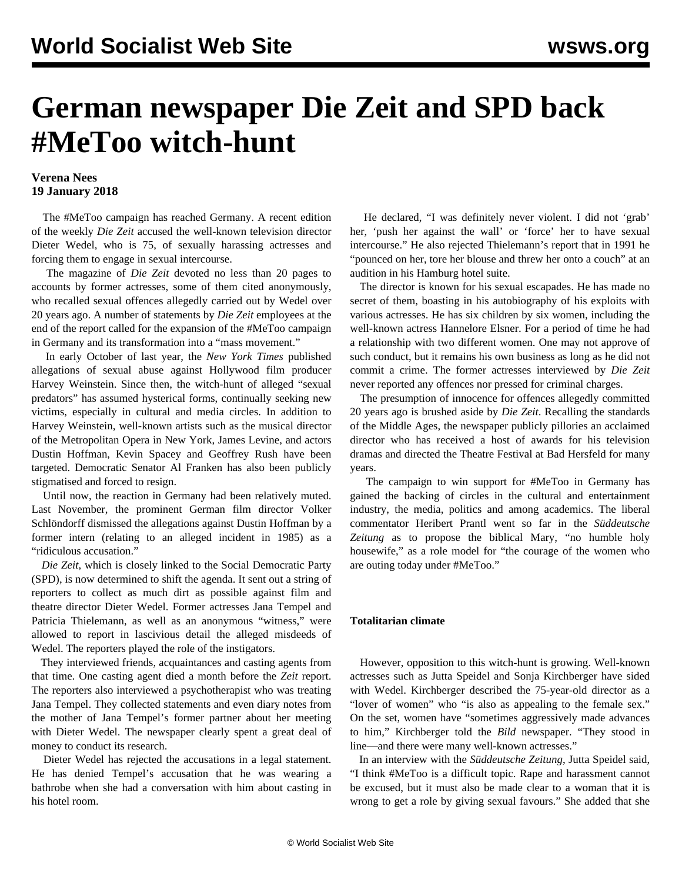## **German newspaper Die Zeit and SPD back #MeToo witch-hunt**

## **Verena Nees 19 January 2018**

 The #MeToo campaign has reached Germany. A recent edition of the weekly *Die Zeit* accused the well-known television director Dieter Wedel, who is 75, of sexually harassing actresses and forcing them to engage in sexual intercourse.

 The magazine of *Die Zeit* devoted no less than 20 pages to accounts by former actresses, some of them cited anonymously, who recalled sexual offences allegedly carried out by Wedel over 20 years ago. A number of statements by *Die Zeit* employees at the end of the report called for the expansion of the #MeToo campaign in Germany and its transformation into a "mass movement."

 In early October of last year, the *New York Times* published allegations of sexual abuse against Hollywood film producer Harvey Weinstein. Since then, the witch-hunt of alleged "sexual predators" has assumed hysterical forms, continually seeking new victims, especially in cultural and media circles. In addition to Harvey Weinstein, well-known artists such as the musical director of the Metropolitan Opera in New York, James Levine, and actors Dustin Hoffman, Kevin Spacey and Geoffrey Rush have been targeted. Democratic Senator Al Franken has also been publicly stigmatised and forced to resign.

 Until now, the reaction in Germany had been relatively muted. Last November, the prominent German film director Volker Schlöndorff dismissed the allegations against Dustin Hoffman by a former intern (relating to an alleged incident in 1985) as a "ridiculous accusation."

 *Die Zeit*, which is closely linked to the Social Democratic Party (SPD), is now determined to shift the agenda. It sent out a string of reporters to collect as much dirt as possible against film and theatre director Dieter Wedel. Former actresses Jana Tempel and Patricia Thielemann, as well as an anonymous "witness," were allowed to report in lascivious detail the alleged misdeeds of Wedel. The reporters played the role of the instigators.

 They interviewed friends, acquaintances and casting agents from that time. One casting agent died a month before the *Zeit* report. The reporters also interviewed a psychotherapist who was treating Jana Tempel. They collected statements and even diary notes from the mother of Jana Tempel's former partner about her meeting with Dieter Wedel. The newspaper clearly spent a great deal of money to conduct its research.

 Dieter Wedel has rejected the accusations in a legal statement. He has denied Tempel's accusation that he was wearing a bathrobe when she had a conversation with him about casting in his hotel room.

 He declared, "I was definitely never violent. I did not 'grab' her, 'push her against the wall' or 'force' her to have sexual intercourse." He also rejected Thielemann's report that in 1991 he "pounced on her, tore her blouse and threw her onto a couch" at an audition in his Hamburg hotel suite.

 The director is known for his sexual escapades. He has made no secret of them, boasting in his autobiography of his exploits with various actresses. He has six children by six women, including the well-known actress Hannelore Elsner. For a period of time he had a relationship with two different women. One may not approve of such conduct, but it remains his own business as long as he did not commit a crime. The former actresses interviewed by *Die Zeit* never reported any offences nor pressed for criminal charges.

 The presumption of innocence for offences allegedly committed 20 years ago is brushed aside by *Die Zeit*. Recalling the standards of the Middle Ages, the newspaper publicly pillories an acclaimed director who has received a host of awards for his television dramas and directed the Theatre Festival at Bad Hersfeld for many years.

 The campaign to win support for #MeToo in Germany has gained the backing of circles in the cultural and entertainment industry, the media, politics and among academics. The liberal commentator Heribert Prantl went so far in the *Süddeutsche Zeitung* as to propose the biblical Mary, "no humble holy housewife," as a role model for "the courage of the women who are outing today under #MeToo."

## **Totalitarian climate**

 However, opposition to this witch-hunt is growing. Well-known actresses such as Jutta Speidel and Sonja Kirchberger have sided with Wedel. Kirchberger described the 75-year-old director as a "lover of women" who "is also as appealing to the female sex." On the set, women have "sometimes aggressively made advances to him," Kirchberger told the *Bild* newspaper. "They stood in line—and there were many well-known actresses."

 In an interview with the *Süddeutsche Zeitung*, Jutta Speidel said, "I think #MeToo is a difficult topic. Rape and harassment cannot be excused, but it must also be made clear to a woman that it is wrong to get a role by giving sexual favours." She added that she